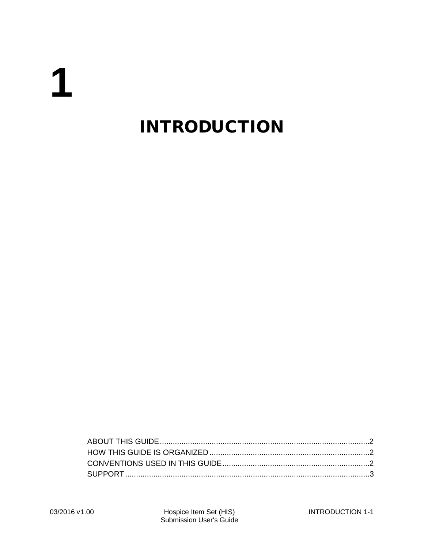# 1

# **INTRODUCTION**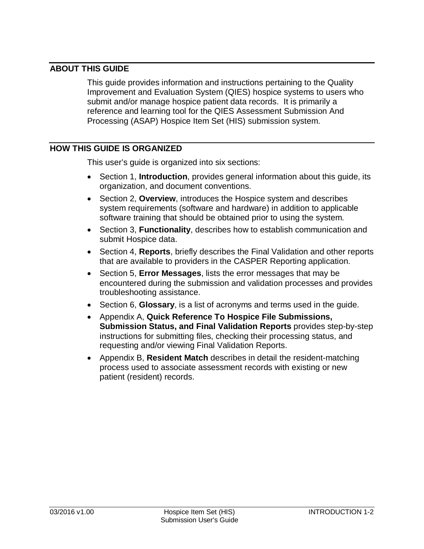## <span id="page-1-0"></span>**ABOUT THIS GUIDE**

This guide provides information and instructions pertaining to the Quality Improvement and Evaluation System (QIES) hospice systems to users who submit and/or manage hospice patient data records. It is primarily a reference and learning tool for the QIES Assessment Submission And Processing (ASAP) Hospice Item Set (HIS) submission system.

#### <span id="page-1-1"></span>**HOW THIS GUIDE IS ORGANIZED**

This user's guide is organized into six sections:

- Section 1, **Introduction**, provides general information about this guide, its organization, and document conventions.
- Section 2, **Overview**, introduces the Hospice system and describes system requirements (software and hardware) in addition to applicable software training that should be obtained prior to using the system.
- Section 3, **Functionality**, describes how to establish communication and submit Hospice data.
- Section 4, **Reports**, briefly describes the Final Validation and other reports that are available to providers in the CASPER Reporting application.
- Section 5, **Error Messages**, lists the error messages that may be encountered during the submission and validation processes and provides troubleshooting assistance.
- Section 6, **Glossary**, is a list of acronyms and terms used in the guide.
- Appendix A, **Quick Reference To Hospice File Submissions, Submission Status, and Final Validation Reports** provides step-by-step instructions for submitting files, checking their processing status, and requesting and/or viewing Final Validation Reports.
- <span id="page-1-2"></span>• Appendix B, **Resident Match** describes in detail the resident-matching process used to associate assessment records with existing or new patient (resident) records.